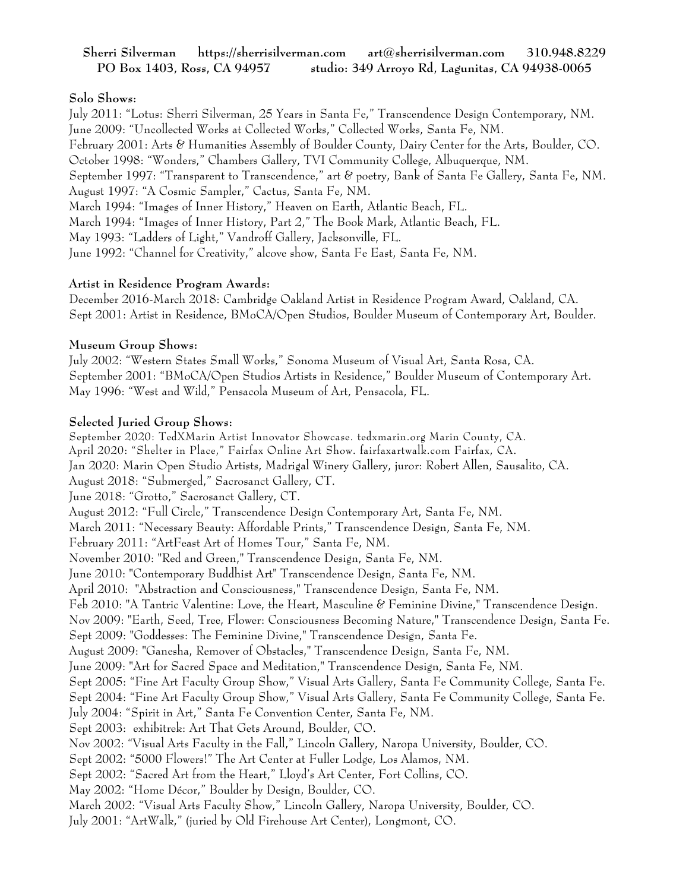# **Sherri Silverman https://sherrisilverman.com art@sherrisilverman.com 310.948.8229 PO Box 1403, Ross, CA 94957 studio: 349 Arroyo Rd, Lagunitas, CA 94938-0065**

# **Solo Shows:**

July 2011: "Lotus: Sherri Silverman, 25 Years in Santa Fe," Transcendence Design Contemporary, NM. June 2009: "Uncollected Works at Collected Works," Collected Works, Santa Fe, NM. February 2001: Arts & Humanities Assembly of Boulder County, Dairy Center for the Arts, Boulder, CO. October 1998: "Wonders," Chambers Gallery, TVI Community College, Albuquerque, NM. September 1997: "Transparent to Transcendence," art & poetry, Bank of Santa Fe Gallery, Santa Fe, NM. August 1997: "A Cosmic Sampler," Cactus, Santa Fe, NM. March 1994: "Images of Inner History," Heaven on Earth, Atlantic Beach, FL. March 1994: "Images of Inner History, Part 2," The Book Mark, Atlantic Beach, FL. May 1993: "Ladders of Light," Vandroff Gallery, Jacksonville, FL. June 1992: "Channel for Creativity," alcove show, Santa Fe East, Santa Fe, NM.

### **Artist in Residence Program Awards:**

December 2016-March 2018: Cambridge Oakland Artist in Residence Program Award, Oakland, CA. Sept 2001: Artist in Residence, BMoCA/Open Studios, Boulder Museum of Contemporary Art, Boulder.

# **Museum Group Shows:**

July 2002: "Western States Small Works," Sonoma Museum of Visual Art, Santa Rosa, CA. September 2001: "BMoCA/Open Studios Artists in Residence," Boulder Museum of Contemporary Art. May 1996: "West and Wild," Pensacola Museum of Art, Pensacola, FL.

# **Selected Juried Group Shows:**

September 2020: TedXMarin Artist Innovator Showcase. tedxmarin.org Marin County, CA. April 2020: "Shelter in Place," Fairfax Online Art Show. fairfaxartwalk.com Fairfax, CA. Jan 2020: Marin Open Studio Artists, Madrigal Winery Gallery, juror: Robert Allen, Sausalito, CA. August 2018: "Submerged," Sacrosanct Gallery, CT. June 2018: "Grotto," Sacrosanct Gallery, CT. August 2012: "Full Circle," Transcendence Design Contemporary Art, Santa Fe, NM. March 2011: "Necessary Beauty: Affordable Prints," Transcendence Design, Santa Fe, NM. February 2011: "ArtFeast Art of Homes Tour," Santa Fe, NM. November 2010: "Red and Green," Transcendence Design, Santa Fe, NM. June 2010: "Contemporary Buddhist Art" Transcendence Design, Santa Fe, NM. April 2010: "Abstraction and Consciousness," Transcendence Design, Santa Fe, NM. Feb 2010: "A Tantric Valentine: Love, the Heart, Masculine & Feminine Divine," Transcendence Design. Nov 2009: "Earth, Seed, Tree, Flower: Consciousness Becoming Nature," Transcendence Design, Santa Fe. Sept 2009: "Goddesses: The Feminine Divine," Transcendence Design, Santa Fe. August 2009: "Ganesha, Remover of Obstacles," Transcendence Design, Santa Fe, NM. June 2009: "Art for Sacred Space and Meditation," Transcendence Design, Santa Fe, NM. Sept 2005: "Fine Art Faculty Group Show," Visual Arts Gallery, Santa Fe Community College, Santa Fe. Sept 2004: "Fine Art Faculty Group Show," Visual Arts Gallery, Santa Fe Community College, Santa Fe. July 2004: "Spirit in Art," Santa Fe Convention Center, Santa Fe, NM. Sept 2003: exhibitrek: Art That Gets Around, Boulder, CO. Nov 2002: "Visual Arts Faculty in the Fall," Lincoln Gallery, Naropa University, Boulder, CO. Sept 2002: "5000 Flowers!" The Art Center at Fuller Lodge, Los Alamos, NM. Sept 2002: "Sacred Art from the Heart," Lloyd's Art Center, Fort Collins, CO. May 2002: "Home Décor," Boulder by Design, Boulder, CO. March 2002: "Visual Arts Faculty Show," Lincoln Gallery, Naropa University, Boulder, CO.

July 2001: "ArtWalk," (juried by Old Firehouse Art Center), Longmont, CO.